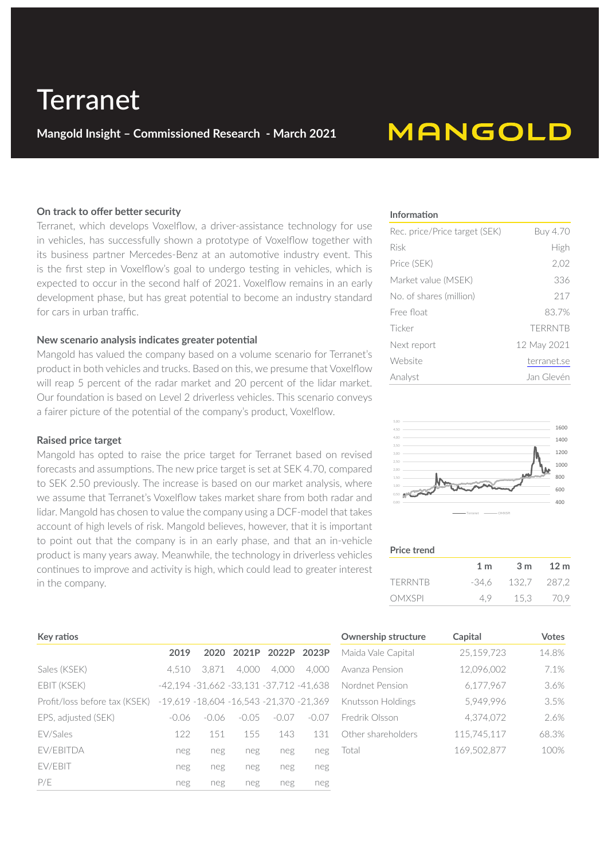# **Terranet**

**Mangold Insight – Commissioned Research - March 2021**

### **MANGOLD**

#### **On track to offer better security**

Terranet, which develops Voxelflow, a driver-assistance technology for use in vehicles, has successfully shown a prototype of Voxelflow together with its business partner Mercedes-Benz at an automotive industry event. This is the first step in Voxelflow's goal to undergo testing in vehicles, which is expected to occur in the second half of 2021. Voxelflow remains in an early development phase, but has great potential to become an industry standard for cars in urban traffic.

#### **New scenario analysis indicates greater potential**

Mangold has valued the company based on a volume scenario for Terranet's product in both vehicles and trucks. Based on this, we presume that Voxelflow will reap 5 percent of the radar market and 20 percent of the lidar market. Our foundation is based on Level 2 driverless vehicles. This scenario conveys a fairer picture of the potential of the company's product, Voxelflow.

#### **Raised price target**

**Key ratios**

Mangold has opted to raise the price target for Terranet based on revised forecasts and assumptions. The new price target is set at SEK 4.70, compared to SEK 2.50 previously. The increase is based on our market analysis, where we assume that Terranet's Voxelflow takes market share from both radar and lidar. Mangold has chosen to value the company using a DCF-model that takes account of high levels of risk. Mangold believes, however, that it is important to point out that the company is in an early phase, and that an in-vehicle product is many years away. Meanwhile, the technology in driverless vehicles continues to improve and activity is high, which could lead to greater interest in the company.

#### **Information**

| Rec. price/Price target (SEK) | Buy 4.70       |
|-------------------------------|----------------|
| Risk                          | High           |
| Price (SEK)                   | 2,02           |
| Market value (MSEK)           | 336            |
| No. of shares (million)       | 217            |
| Free float                    | 83.7%          |
| Ticker                        | <b>TFRRNTB</b> |
| Next report                   | 12 May 2021    |
| Website                       | terranet.se    |
| Analyst                       | Jan Glevén     |



#### **Price trend**

|               | 1 <sub>m</sub> | 3 <sub>m</sub> | 12 m        |
|---------------|----------------|----------------|-------------|
| TERRNTB       | -34.6          |                | 132.7 287.2 |
| <b>OMXSPI</b> | 4.9            |                | 15.3 70.9   |

| <b>NEY IDUIUS</b>             |         |                                               |         |                        |         |
|-------------------------------|---------|-----------------------------------------------|---------|------------------------|---------|
|                               | 2019    |                                               |         | 2020 2021P 2022P 2023P |         |
| Sales (KSEK)                  | 4.510   | 3.871                                         | 4.000   | 4.000                  | 4.000   |
| EBIT (KSEK)                   |         | -42,194 -31,662 -33,131 -37,712 -41,638       |         |                        |         |
| Profit/loss before tax (KSEK) |         | $-19,619 - 18,604 - 16,543 - 21,370 - 21,369$ |         |                        |         |
| EPS. adjusted (SEK)           | $-0.06$ | $-0.06$                                       | $-0.05$ | $-0.07$                | $-0.07$ |
| <b>FV/Sales</b>               | 122     | 151                                           | 155     | 143                    | 131     |
| <b>FV/FBITDA</b>              | neg     | neg                                           | neg     | neg                    | neg     |
| EV/EBIT                       | neg     | neg                                           | neg     | neg                    | neg     |
| P/F                           | neg     | neg                                           | neg     | neg                    | neg     |

| <b>Ownership structure</b> | Capital     | <b>Votes</b> |
|----------------------------|-------------|--------------|
| Maida Vale Capital         | 25,159,723  | 14.8%        |
| Avanza Pension             | 12,096,002  | 7.1%         |
| Nordnet Pension            | 6,177,967   | 3.6%         |
| Knutsson Holdings          | 5,949,996   | 3.5%         |
| Fredrik Olsson             | 4.374.072   | 2.6%         |
| Other shareholders         | 115,745,117 | 68.3%        |
| Total                      | 169.502.877 | 100%         |
|                            |             |              |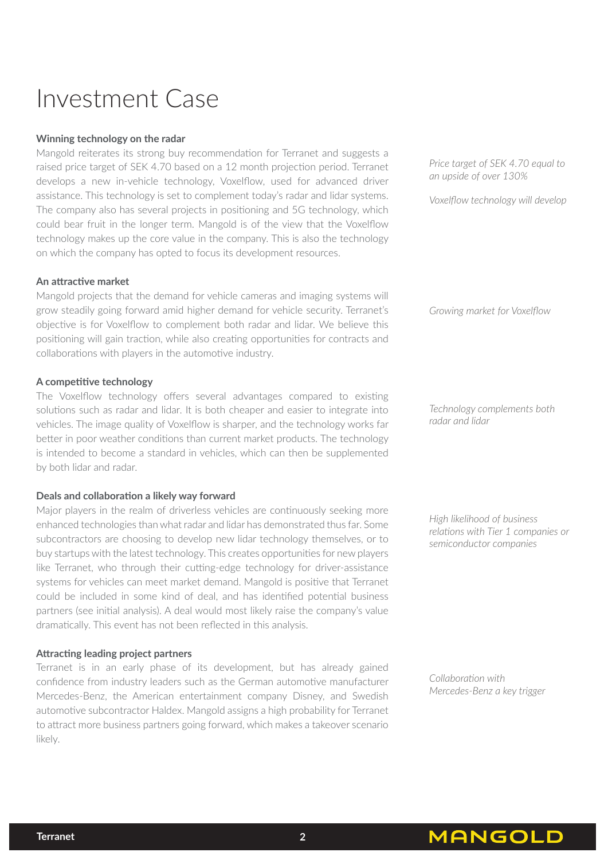### Investment Case

#### **Winning technology on the radar**

Mangold reiterates its strong buy recommendation for Terranet and suggests a raised price target of SEK 4.70 based on a 12 month projection period. Terranet develops a new in-vehicle technology, Voxelflow, used for advanced driver assistance. This technology is set to complement today's radar and lidar systems. The company also has several projects in positioning and 5G technology, which could bear fruit in the longer term. Mangold is of the view that the Voxelflow technology makes up the core value in the company. This is also the technology on which the company has opted to focus its development resources.

#### **An attractive market**

Mangold projects that the demand for vehicle cameras and imaging systems will grow steadily going forward amid higher demand for vehicle security. Terranet's objective is for Voxelflow to complement both radar and lidar. We believe this positioning will gain traction, while also creating opportunities for contracts and collaborations with players in the automotive industry.

#### **A competitive technology**

The Voxelflow technology offers several advantages compared to existing solutions such as radar and lidar. It is both cheaper and easier to integrate into vehicles. The image quality of Voxelflow is sharper, and the technology works far better in poor weather conditions than current market products. The technology is intended to become a standard in vehicles, which can then be supplemented by both lidar and radar.

### **Deals and collaboration a likely way forward**

Major players in the realm of driverless vehicles are continuously seeking more enhanced technologies than what radar and lidar has demonstrated thus far. Some subcontractors are choosing to develop new lidar technology themselves, or to buy startups with the latest technology. This creates opportunities for new players like Terranet, who through their cutting-edge technology for driver-assistance systems for vehicles can meet market demand. Mangold is positive that Terranet could be included in some kind of deal, and has identified potential business partners (see initial analysis). A deal would most likely raise the company's value dramatically. This event has not been reflected in this analysis.

### **Attracting leading project partners**

Terranet is in an early phase of its development, but has already gained confidence from industry leaders such as the German automotive manufacturer Mercedes-Benz, the American entertainment company Disney, and Swedish automotive subcontractor Haldex. Mangold assigns a high probability for Terranet to attract more business partners going forward, which makes a takeover scenario likely.

*Price target of SEK 4.70 equal to an upside of over 130%*

*Voxelflow technology will develop* 

*Growing market for Voxelflow* 

*Technology complements both radar and lidar* 

*High likelihood of business relations with Tier 1 companies or semiconductor companies*

*Collaboration with Mercedes-Benz a key trigger*

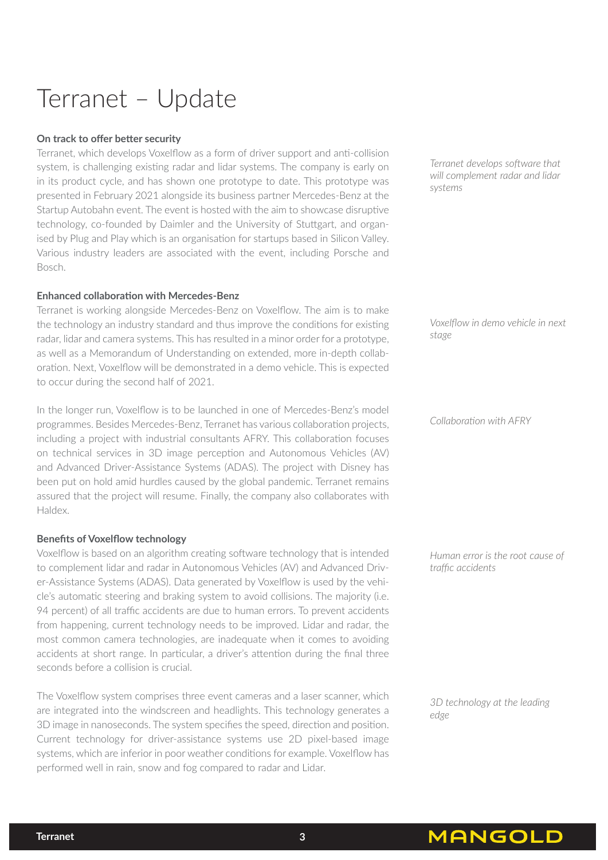## Terranet – Update

### **On track to offer better security**

Terranet, which develops Voxelflow as a form of driver support and anti-collision system, is challenging existing radar and lidar systems. The company is early on in its product cycle, and has shown one prototype to date. This prototype was presented in February 2021 alongside its business partner Mercedes-Benz at the Startup Autobahn event. The event is hosted with the aim to showcase disruptive technology, co-founded by Daimler and the University of Stuttgart, and organised by Plug and Play which is an organisation for startups based in Silicon Valley. Various industry leaders are associated with the event, including Porsche and Bosch.

### **Enhanced collaboration with Mercedes-Benz**

Terranet is working alongside Mercedes-Benz on Voxelflow. The aim is to make the technology an industry standard and thus improve the conditions for existing radar, lidar and camera systems. This has resulted in a minor order for a prototype, as well as a Memorandum of Understanding on extended, more in-depth collaboration. Next, Voxelflow will be demonstrated in a demo vehicle. This is expected to occur during the second half of 2021.

In the longer run, Voxelflow is to be launched in one of Mercedes-Benz's model programmes. Besides Mercedes-Benz, Terranet has various collaboration projects, including a project with industrial consultants AFRY. This collaboration focuses on technical services in 3D image perception and Autonomous Vehicles (AV) and Advanced Driver-Assistance Systems (ADAS). The project with Disney has been put on hold amid hurdles caused by the global pandemic. Terranet remains assured that the project will resume. Finally, the company also collaborates with Haldex.

#### **Benefits of Voxelflow technology**

Voxelflow is based on an algorithm creating software technology that is intended to complement lidar and radar in Autonomous Vehicles (AV) and Advanced Driver-Assistance Systems (ADAS). Data generated by Voxelflow is used by the vehicle's automatic steering and braking system to avoid collisions. The majority (i.e. 94 percent) of all traffic accidents are due to human errors. To prevent accidents from happening, current technology needs to be improved. Lidar and radar, the most common camera technologies, are inadequate when it comes to avoiding accidents at short range. In particular, a driver's attention during the final three seconds before a collision is crucial.

The Voxelflow system comprises three event cameras and a laser scanner, which are integrated into the windscreen and headlights. This technology generates a 3D image in nanoseconds. The system specifies the speed, direction and position. Current technology for driver-assistance systems use 2D pixel-based image systems, which are inferior in poor weather conditions for example. Voxelflow has performed well in rain, snow and fog compared to radar and Lidar.

*Terranet develops software that will complement radar and lidar systems*

*Voxelflow in demo vehicle in next stage*

*Collaboration with AFRY*

*Human error is the root cause of traffic accidents*

*3D technology at the leading edge* 

**MANGOLD** 

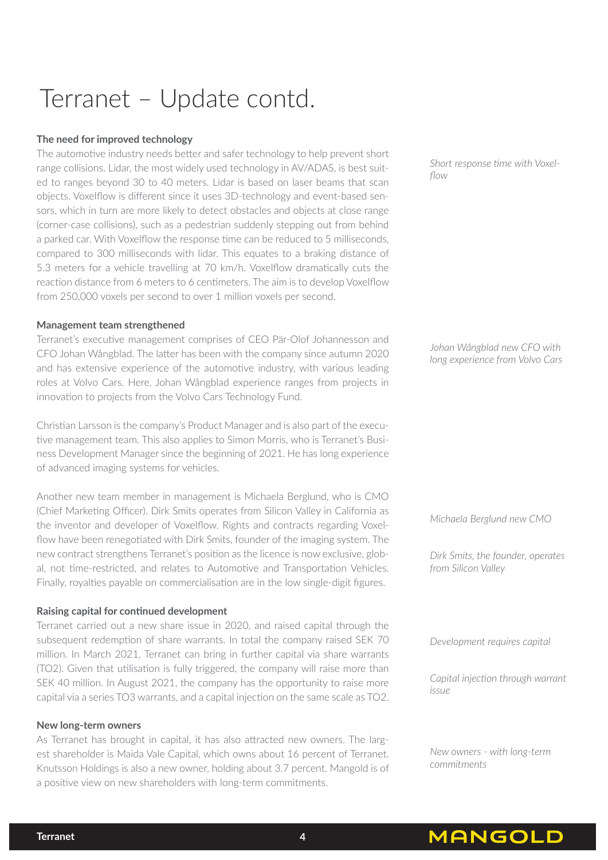# Terranet – Update contd.

### **The need for improved technology**

The automotive industry needs better and safer technology to help prevent short range collisions. Lidar, the most widely used technology in AV/ADAS, is best suited to ranges beyond 30 to 40 meters. Lidar is based on laser beams that scan objects. Voxelflow is different since it uses 3D-technology and event-based sensors, which in turn are more likely to detect obstacles and objects at close range (corner-case collisions), such as a pedestrian suddenly stepping out from behind a parked car. With Voxelflow the response time can be reduced to 5 milliseconds, compared to 300 milliseconds with lidar. This equates to a braking distance of 5.3 meters for a vehicle travelling at 70 km/h. Voxelflow dramatically cuts the reaction distance from 6 meters to 6 centimeters. The aim is to develop Voxelflow from 250,000 voxels per second to over 1 million voxels per second.

#### **Management team strengthened**

Terranet's executive management comprises of CEO Pär-Olof Johannesson and CFO Johan Wångblad. The latter has been with the company since autumn 2020 and has extensive experience of the automotive industry, with various leading roles at Volvo Cars. Here, Johan Wångblad experience ranges from projects in innovation to projects from the Volvo Cars Technology Fund.

Christian Larsson is the company's Product Manager and is also part of the executive management team. This also applies to Simon Morris, who is Terranet's Business Development Manager since the beginning of 2021. He has long experience of advanced imaging systems for vehicles.

Another new team member in management is Michaela Berglund, who is CMO (Chief Marketing Officer). Dirk Smits operates from Silicon Valley in California as the inventor and developer of Voxelflow. Rights and contracts regarding Voxelflow have been renegotiated with Dirk Smits, founder of the imaging system. The new contract strengthens Terranet's position as the licence is now exclusive, global, not time-restricted, and relates to Automotive and Transportation Vehicles. Finally, royalties payable on commercialisation are in the low single-digit figures.

### **Raising capital for continued development**

Terranet carried out a new share issue in 2020, and raised capital through the subsequent redemption of share warrants. In total the company raised SEK 70 million. In March 2021, Terranet can bring in further capital via share warrants (TO2). Given that utilisation is fully triggered, the company will raise more than SEK 40 million. In August 2021, the company has the opportunity to raise more capital via a series TO3 warrants, and a capital injection on the same scale as TO2.

#### **New long-term owners**

As Terranet has brought in capital, it has also attracted new owners. The largest shareholder is Maida Vale Capital, which owns about 16 percent of Terranet. Knutsson Holdings is also a new owner, holding about 3.7 percent. Mangold is of a positive view on new shareholders with long-term commitments.

*Short response time with Voxelflow*

*Johan Wångblad new CFO with long experience from Volvo Cars* 

*Michaela Berglund new CMO*

*Dirk Smits, the founder, operates from Silicon Valley*

*Development requires capital*

*Capital injection through warrant issue*

*New owners - with long-term commitments*

**MANGOLD**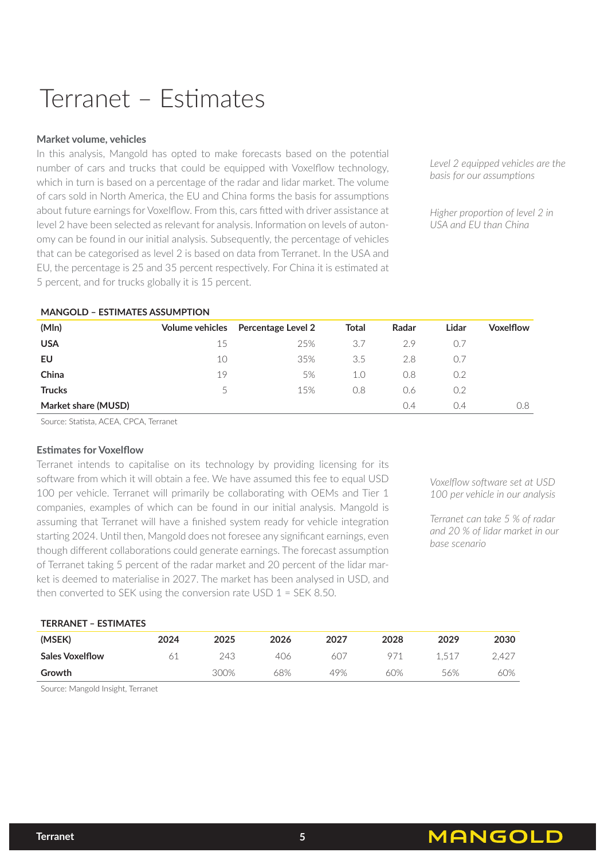## Terranet – Estimates

#### **Market volume, vehicles**

In this analysis, Mangold has opted to make forecasts based on the potential number of cars and trucks that could be equipped with Voxelflow technology, which in turn is based on a percentage of the radar and lidar market. The volume of cars sold in North America, the EU and China forms the basis for assumptions about future earnings for Voxelflow. From this, cars fitted with driver assistance at level 2 have been selected as relevant for analysis. Information on levels of autonomy can be found in our initial analysis. Subsequently, the percentage of vehicles that can be categorised as level 2 is based on data from Terranet. In the USA and EU, the percentage is 25 and 35 percent respectively. For China it is estimated at 5 percent, and for trucks globally it is 15 percent.

*Level 2 equipped vehicles are the basis for our assumptions*

*Higher proportion of level 2 in USA and EU than China*

### **MANGOLD – ESTIMATES ASSUMPTION**

| (MIn)               | Volume vehicles | <b>Percentage Level 2</b> | Total | Radar | Lidar | <b>Voxelflow</b> |
|---------------------|-----------------|---------------------------|-------|-------|-------|------------------|
| <b>USA</b>          | 15              | 25%                       | 3.7   | 2.9   | 0.7   |                  |
| EU                  | 10              | 35%                       | 3.5   | 2.8   |       |                  |
| China               | 19              | 5%                        | 1.0   | 0.8   | 0.2   |                  |
| <b>Trucks</b>       | $\mathcal{L}$   | 15%                       | 0.8   | 0.6   | 0.2   |                  |
| Market share (MUSD) |                 |                           |       | 0.4   | 0.4   | 0.8              |

Source: Statista, ACEA, CPCA, Terranet

### **Estimates for Voxelflow**

Terranet intends to capitalise on its technology by providing licensing for its software from which it will obtain a fee. We have assumed this fee to equal USD 100 per vehicle. Terranet will primarily be collaborating with OEMs and Tier 1 companies, examples of which can be found in our initial analysis. Mangold is assuming that Terranet will have a finished system ready for vehicle integration starting 2024. Until then, Mangold does not foresee any significant earnings, even though different collaborations could generate earnings. The forecast assumption of Terranet taking 5 percent of the radar market and 20 percent of the lidar market is deemed to materialise in 2027. The market has been analysed in USD, and then converted to SEK using the conversion rate USD 1 = SEK 8.50.

*Voxelflow software set at USD 100 per vehicle in our analysis*

*Terranet can take 5 % of radar and 20 % of lidar market in our base scenario*

**MANGOLD** 

#### **TERRANET – ESTIMATES**

| (MSEK)                 | 2024 | 2025 | 2026 | 2027 | 2028 | 2029 | 2030       |
|------------------------|------|------|------|------|------|------|------------|
| <b>Sales Voxelflow</b> |      | 243  | 406  | 607  |      | 1517 | $2.42^{-}$ |
| Growth                 |      | 300% | 68%  | 49%  | 60%  | 56%  | 60%        |

Source: Mangold Insight, Terranet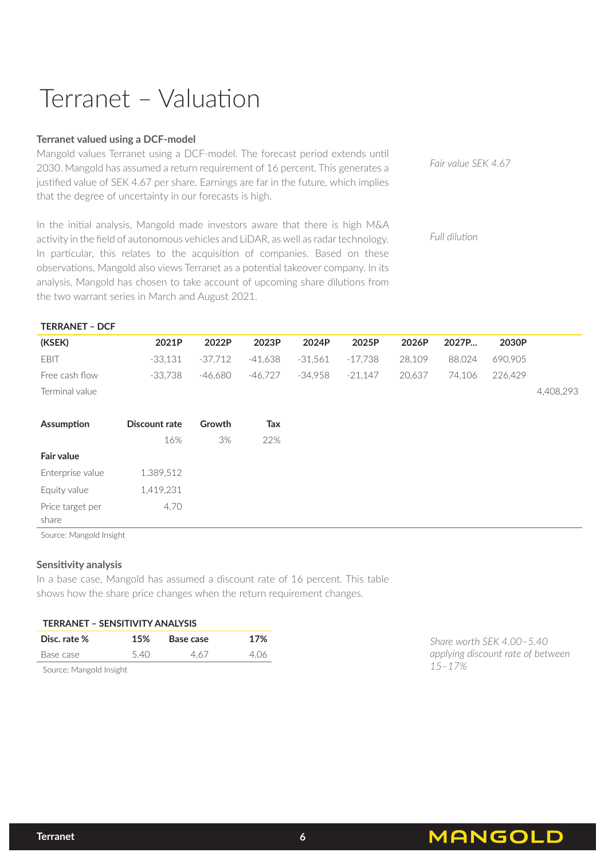# Terranet – Valuation

### **Terranet valued using a DCF-model**

Mangold values Terranet using a DCF-model. The forecast period extends until 2030. Mangold has assumed a return requirement of 16 percent. This generates a justified value of SEK 4.67 per share. Earnings are far in the future, which implies that the degree of uncertainty in our forecasts is high.

In the initial analysis, Mangold made investors aware that there is high M&A activity in the field of autonomous vehicles and LiDAR, as well as radar technology. In particular, this relates to the acquisition of companies. Based on these observations, Mangold also views Terranet as a potential takeover company. In its analysis, Mangold has chosen to take account of upcoming share dilutions from the two warrant series in March and August 2021.

*Fair value SEK 4.67* 

*Full dilution* 

| <b>TERRANET - DCF</b>   |               |           |           |           |           |        |        |         |           |
|-------------------------|---------------|-----------|-----------|-----------|-----------|--------|--------|---------|-----------|
| (KSEK)                  | 2021P         | 2022P     | 2023P     | 2024P     | 2025P     | 2026P  | 2027P  | 2030P   |           |
| EBIT                    | $-33,131$     | $-37,712$ | $-41,638$ | $-31,561$ | $-17,738$ | 28,109 | 88,024 | 690,905 |           |
| Free cash flow          | $-33,738$     | $-46,680$ | -46,727   | $-34,958$ | $-21,147$ | 20,637 | 74,106 | 226,429 |           |
| Terminal value          |               |           |           |           |           |        |        |         | 4,408,293 |
|                         |               |           |           |           |           |        |        |         |           |
| Assumption              | Discount rate | Growth    | Tax       |           |           |        |        |         |           |
|                         | 16%           | 3%        | 22%       |           |           |        |        |         |           |
| <b>Fair value</b>       |               |           |           |           |           |        |        |         |           |
| Enterprise value        | 1,389,512     |           |           |           |           |        |        |         |           |
| Equity value            | 1,419,231     |           |           |           |           |        |        |         |           |
| Price target per        | 4.70          |           |           |           |           |        |        |         |           |
| share                   |               |           |           |           |           |        |        |         |           |
| Source: Mangold Insight |               |           |           |           |           |        |        |         |           |

### **Sensitivity analysis**

In a base case, Mangold has assumed a discount rate of 16 percent. This table shows how the share price changes when the return requirement changes.

| TERRANET – SENSITIVITY ANALYSIS |     |           |      |
|---------------------------------|-----|-----------|------|
| Disc. rate %                    | 15% | Base case | 17%  |
| Base case                       | 540 | 4.67      | 4.06 |
| Source: Mangold Insight         |     |           |      |

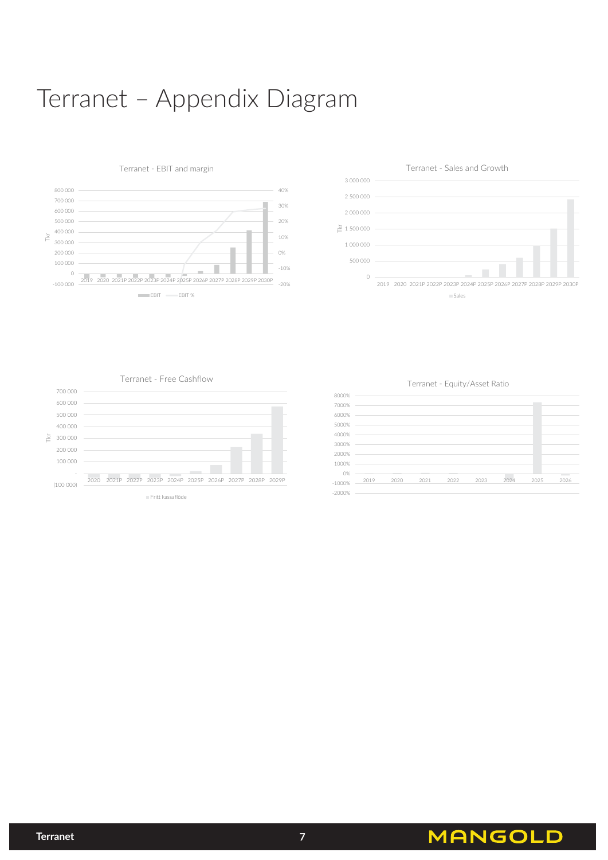## Terranet – Appendix Diagram







Terranet - Free Cashflow



Terranet - Equity/Asset Ratio



**MANGOLD**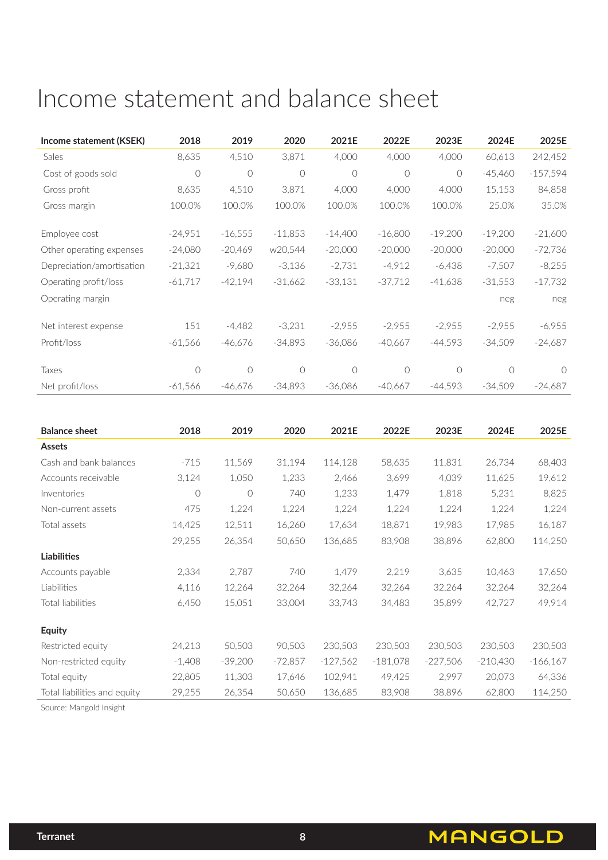### Income statement and balance sheet

| Income statement (KSEK)   | 2018      | 2019      | 2020       | 2021E     | 2022E      | 2023E      | 2024E     | 2025E      |
|---------------------------|-----------|-----------|------------|-----------|------------|------------|-----------|------------|
| Sales                     | 8,635     | 4,510     | 3,871      | 4,000     | 4,000      | 4,000      | 60,613    | 242,452    |
| Cost of goods sold        | $\circ$   | $\circ$   | $\circ$    | $\circ$   | $\bigcirc$ | $\bigcirc$ | $-45,460$ | $-157,594$ |
| Gross profit              | 8,635     | 4,510     | 3,871      | 4,000     | 4,000      | 4,000      | 15,153    | 84,858     |
| Gross margin              | 100.0%    | 100.0%    | 100.0%     | 100.0%    | 100.0%     | 100.0%     | 25.0%     | 35.0%      |
|                           |           |           |            |           |            |            |           |            |
| Employee cost             | $-24,951$ | $-16,555$ | $-11,853$  | $-14,400$ | $-16,800$  | $-19,200$  | $-19,200$ | $-21,600$  |
| Other operating expenses  | $-24,080$ | $-20,469$ | w20,544    | $-20,000$ | $-20,000$  | $-20,000$  | $-20,000$ | $-72,736$  |
| Depreciation/amortisation | $-21,321$ | $-9,680$  | $-3,136$   | $-2,731$  | $-4,912$   | $-6,438$   | $-7,507$  | $-8,255$   |
| Operating profit/loss     | $-61,717$ | $-42,194$ | $-31,662$  | $-33,131$ | $-37,712$  | $-41,638$  | $-31,553$ | $-17,732$  |
| Operating margin          |           |           |            |           |            |            | neg       | neg        |
|                           |           |           |            |           |            |            |           |            |
| Net interest expense      | 151       | $-4,482$  | $-3,231$   | $-2,955$  | $-2,955$   | $-2,955$   | $-2,955$  | $-6,955$   |
| Profit/loss               | $-61,566$ | $-46,676$ | $-34,893$  | $-36,086$ | $-40,667$  | $-44,593$  | $-34,509$ | $-24,687$  |
|                           |           |           |            |           |            |            |           |            |
| Taxes                     | $\circ$   | $\circ$   | $\bigcirc$ | $\circ$   | $\circ$    | $\bigcirc$ | $\circ$   | $\bigcap$  |
| Net profit/loss           | $-61,566$ | $-46.676$ | $-34,893$  | $-36,086$ | $-40.667$  | $-44.593$  | $-34,509$ | $-24,687$  |

| <b>Balance sheet</b>         | 2018     | 2019       | 2020      | 2021E      | 2022E      | 2023E      | 2024E      | 2025E      |
|------------------------------|----------|------------|-----------|------------|------------|------------|------------|------------|
| Assets                       |          |            |           |            |            |            |            |            |
| Cash and bank balances       | $-715$   | 11,569     | 31,194    | 114,128    | 58,635     | 11,831     | 26,734     | 68,403     |
| Accounts receivable          | 3,124    | 1,050      | 1,233     | 2,466      | 3,699      | 4,039      | 11,625     | 19,612     |
| Inventories                  | $\circ$  | $\bigcirc$ | 740       | 1,233      | 1,479      | 1,818      | 5,231      | 8,825      |
| Non-current assets           | 475      | 1,224      | 1,224     | 1,224      | 1,224      | 1,224      | 1,224      | 1,224      |
| Total assets                 | 14,425   | 12,511     | 16,260    | 17,634     | 18,871     | 19,983     | 17,985     | 16,187     |
|                              | 29,255   | 26,354     | 50,650    | 136,685    | 83,908     | 38,896     | 62,800     | 114,250    |
| <b>Liabilities</b>           |          |            |           |            |            |            |            |            |
| Accounts payable             | 2,334    | 2,787      | 740       | 1,479      | 2,219      | 3,635      | 10,463     | 17,650     |
| Liabilities                  | 4,116    | 12,264     | 32,264    | 32,264     | 32,264     | 32,264     | 32,264     | 32,264     |
| Total liabilities            | 6,450    | 15,051     | 33,004    | 33,743     | 34,483     | 35,899     | 42,727     | 49,914     |
| <b>Equity</b>                |          |            |           |            |            |            |            |            |
| Restricted equity            | 24,213   | 50,503     | 90,503    | 230,503    | 230,503    | 230,503    | 230,503    | 230,503    |
| Non-restricted equity        | $-1,408$ | $-39,200$  | $-72,857$ | $-127,562$ | $-181,078$ | $-227,506$ | $-210,430$ | $-166,167$ |
| Total equity                 | 22,805   | 11,303     | 17,646    | 102,941    | 49,425     | 2,997      | 20,073     | 64,336     |
| Total liabilities and equity | 29,255   | 26,354     | 50,650    | 136,685    | 83,908     | 38,896     | 62,800     | 114,250    |

Source: Mangold Insight